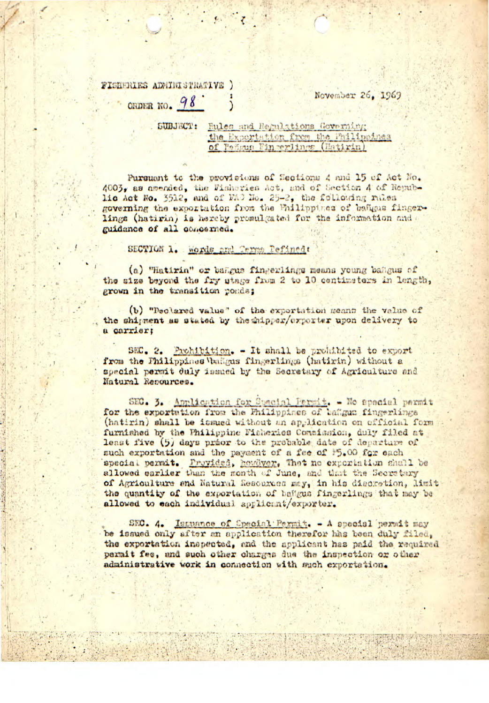FISHERIES ADMINISTRATIVE ) CRDER NO.  $98$ 

November 26, 1969

Eules and Regulations Governing SUBJECT: the Expertation from the Philippines of Pengus Fingerlings (Hatirin)

Pursuant to the provisions of Sections 4 and 15 of Act No. 4003, as amended, the Fisheries Act, and of Section A of Republic Act No. 3512, and of WAC No. 25-2, the following rales governing the exportation from the Philippines of bangus fingerlings (hatirin) is hereby promulgated for the information and guidance of all concerned.

SECTION 1. words and Terms Pefined:

(a) "Hatirin" or bangus fingerlings means young bangus of the size beyond the fry stage from 2 to 10 centimeters in length, grown in the transition ponds;

(b) "Declared value" of the exportation means the value of the shipment as stated by the shipper/exporter upon delivery to a carrier;

SEC. 2. Prohibition. - It shall be prohibited to export from the Philippines bangus fingerlings (hatirin) without a special permit duly issued by the Secretary of Agriculture and Natural Resources.

SEC. 3. Application for Spacial Permit. - No spacial permit for the exportation from the Philippines of ballgum fingerlings (hatirin) shall be issued without an application on official form furnished by the Philippine Fisheries Commission, duly filed at least five (5) days prior to the probable date of departure of such exportation and the payment of a fee of 15.00 for each special permit. Provided, howdver, That no exportation shall be allowed earlier than the month of June, and that the Secretary of Agriculture and Natural Resources may, in his discretion, limit the quantity of the exportation of ballgus fingerlings that may be allowed to each individual applicint/exporter.

SEC. 4. Issuance of Special Permit. - A special permit may be issued only after an application therefor has been duly filed. the exportation inspected, and the applicant has paid the required permit fee, and such other charges due the inspection or other administrative work in connection with such exportation.